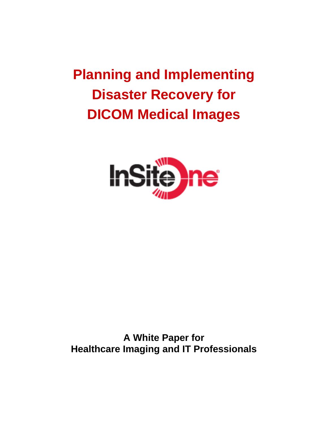# **Planning and Implementing Disaster Recovery for DICOM Medical Images**



**A White Paper for Healthcare Imaging and IT Professionals**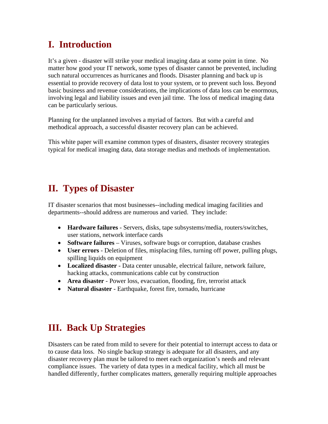## **I. Introduction**

It's a given - disaster will strike your medical imaging data at some point in time. No matter how good your IT network, some types of disaster cannot be prevented, including such natural occurrences as hurricanes and floods. Disaster planning and back up is essential to provide recovery of data lost to your system, or to prevent such loss. Beyond basic business and revenue considerations, the implications of data loss can be enormous, involving legal and liability issues and even jail time. The loss of medical imaging data can be particularly serious.

Planning for the unplanned involves a myriad of factors. But with a careful and methodical approach, a successful disaster recovery plan can be achieved.

This white paper will examine common types of disasters, disaster recovery strategies typical for medical imaging data, data storage medias and methods of implementation.

### **II. Types of Disaster**

IT disaster scenarios that most businesses--including medical imaging facilities and departments--should address are numerous and varied. They include:

- **Hardware failures** Servers, disks, tape subsystems/media, routers/switches, user stations, network interface cards
- **Software failures** Viruses, software bugs or corruption, database crashes
- **User errors** Deletion of files, misplacing files, turning off power, pulling plugs, spilling liquids on equipment
- **Localized disaster** Data center unusable, electrical failure, network failure, hacking attacks, communications cable cut by construction
- **Area disaster** Power loss, evacuation, flooding, fire, terrorist attack
- **Natural disaster** Earthquake, forest fire, tornado, hurricane

### **III. Back Up Strategies**

Disasters can be rated from mild to severe for their potential to interrupt access to data or to cause data loss. No single backup strategy is adequate for all disasters, and any disaster recovery plan must be tailored to meet each organization's needs and relevant compliance issues. The variety of data types in a medical facility, which all must be handled differently, further complicates matters, generally requiring multiple approaches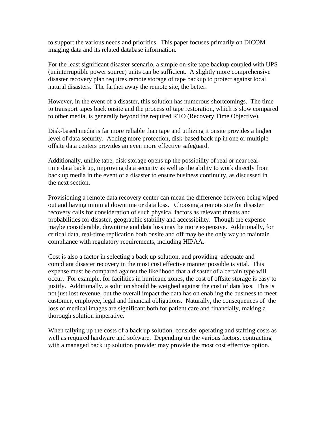to support the various needs and priorities. This paper focuses primarily on DICOM imaging data and its related database information.

For the least significant disaster scenario, a simple on-site tape backup coupled with UPS (uninterruptible power source) units can be sufficient. A slightly more comprehensive disaster recovery plan requires remote storage of tape backup to protect against local natural disasters. The farther away the remote site, the better.

However, in the event of a disaster, this solution has numerous shortcomings. The time to transport tapes back onsite and the process of tape restoration, which is slow compared to other media, is generally beyond the required RTO (Recovery Time Objective).

Disk-based media is far more reliable than tape and utilizing it onsite provides a higher level of data security. Adding more protection, disk-based back up in one or multiple offsite data centers provides an even more effective safeguard.

Additionally, unlike tape, disk storage opens up the possibility of real or near realtime data back up, improving data security as well as the ability to work directly from back up media in the event of a disaster to ensure business continuity, as discussed in the next section.

Provisioning a remote data recovery center can mean the difference between being wiped out and having minimal downtime or data loss. Choosing a remote site for disaster recovery calls for consideration of such physical factors as relevant threats and probabilities for disaster, geographic stability and accessibility. Though the expense maybe considerable, downtime and data loss may be more expensive. Additionally, for critical data, real-time replication both onsite and off may be the only way to maintain compliance with regulatory requirements, including HIPAA.

Cost is also a factor in selecting a back up solution, and providing adequate and compliant disaster recovery in the most cost effective manner possible is vital. This expense must be compared against the likelihood that a disaster of a certain type will occur. For example, for facilities in hurricane zones, the cost of offsite storage is easy to justify. Additionally, a solution should be weighed against the cost of data loss. This is not just lost revenue, but the overall impact the data has on enabling the business to meet customer, employee, legal and financial obligations. Naturally, the consequences of the loss of medical images are significant both for patient care and financially, making a thorough solution imperative.

When tallying up the costs of a back up solution, consider operating and staffing costs as well as required hardware and software. Depending on the various factors, contracting with a managed back up solution provider may provide the most cost effective option.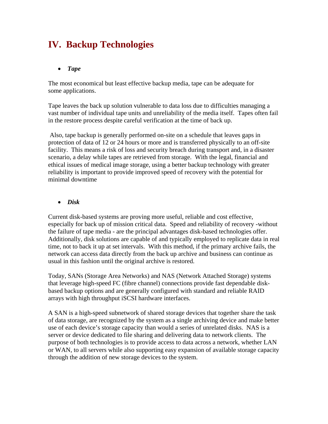## **IV. Backup Technologies**

#### • *Tape*

The most economical but least effective backup media, tape can be adequate for some applications.

Tape leaves the back up solution vulnerable to data loss due to difficulties managing a vast number of individual tape units and unreliability of the media itself. Tapes often fail in the restore process despite careful verification at the time of back up.

 Also, tape backup is generally performed on-site on a schedule that leaves gaps in protection of data of 12 or 24 hours or more and is transferred physically to an off-site facility. This means a risk of loss and security breach during transport and, in a disaster scenario, a delay while tapes are retrieved from storage. With the legal, financial and ethical issues of medical image storage, using a better backup technology with greater reliability is important to provide improved speed of recovery with the potential for minimal downtime

#### • *Disk*

Current disk-based systems are proving more useful, reliable and cost effective, especially for back up of mission critical data. Speed and reliability of recovery -without the failure of tape media - are the principal advantages disk-based technologies offer. Additionally, disk solutions are capable of and typically employed to replicate data in real time, not to back it up at set intervals. With this method, if the primary archive fails, the network can access data directly from the back up archive and business can continue as usual in this fashion until the original archive is restored.

Today, SANs (Storage Area Networks) and NAS (Network Attached Storage) systems that leverage high-speed FC (fibre channel) connections provide fast dependable diskbased backup options and are generally configured with standard and reliable RAID arrays with high throughput iSCSI hardware interfaces.

A SAN is a high-speed subnetwork of shared storage devices that together share the task of data storage, are recognized by the system as a single archiving device and make better use of each device's storage capacity than would a series of unrelated disks. NAS is a server or device dedicated to file sharing and delivering data to network clients. The purpose of both technologies is to provide access to data across a network, whether LAN or WAN, to all servers while also supporting easy expansion of available storage capacity through the addition of new storage devices to the system.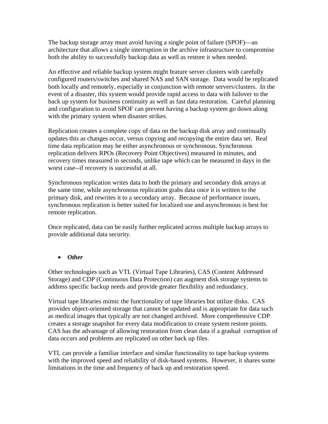The backup storage array must avoid having a single point of failure (SPOF)—an architecture that allows a single interruption in the archive infrastructure to compromise both the ability to successfully backup data as well as restore it when needed.

An effective and reliable backup system might feature server clusters with carefully configured routers/switches and shared NAS and SAN storage. Data would be replicated both locally and remotely, especially in conjunction with remote servers/clusters. In the event of a disaster, this system would provide rapid access to data with failover to the back up system for business continuity as well as fast data restoration. Careful planning and configuration to avoid SPOF can prevent having a backup system go down along with the primary system when disaster strikes.

Replication creates a complete copy of data on the backup disk array and continually updates this as changes occur, versus copying and recopying the entire data set. Real time data replication may be either asynchronous or synchronous. Synchronous replication delivers RPOs (Recovery Point Objectives) measured in minutes, and recovery times measured in seconds, unlike tape which can be measured in days in the worst case--if recovery is successful at all.

Synchronous replication writes data to both the primary and secondary disk arrays at the same time, while asynchronous replication grabs data once it is written to the primary disk, and rewrites it to a secondary array. Because of performance issues, synchronous replication is better suited for localized use and asynchronous is best for remote replication.

Once replicated, data can be easily further replicated across multiple backup arrays to provide additional data security.

#### • *Other*

Other technologies such as VTL (Virtual Tape Libraries), CAS (Content Addressed Storage) and CDP (Continuous Data Protection) can augment disk storage systems to address specific backup needs and provide greater flexibility and redundancy.

Virtual tape libraries mimic the functionality of tape libraries but utilize disks. CAS provides object-oriented storage that cannot be updated and is appropriate for data such as medical images that typically are not changed archived. More comprehensive CDP creates a storage snapshot for every data modification to create system restore points. CAS has the advantage of allowing restoration from clean data if a gradual corruption of data occurs and problems are replicated on other back up files.

VTL can provide a familiar interface and similar functionality to tape backup systems with the improved speed and reliability of disk-based systems. However, it shares some limitations in the time and frequency of back up and restoration speed.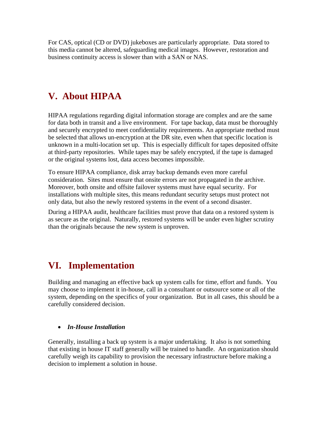For CAS, optical (CD or DVD) jukeboxes are particularly appropriate. Data stored to this media cannot be altered, safeguarding medical images. However, restoration and business continuity access is slower than with a SAN or NAS.

# **V. About HIPAA**

HIPAA regulations regarding digital information storage are complex and are the same for data both in transit and a live environment. For tape backup, data must be thoroughly and securely encrypted to meet confidentiality requirements. An appropriate method must be selected that allows un-encryption at the DR site, even when that specific location is unknown in a multi-location set up. This is especially difficult for tapes deposited offsite at third-party repositories. While tapes may be safely encrypted, if the tape is damaged or the original systems lost, data access becomes impossible.

To ensure HIPAA compliance, disk array backup demands even more careful consideration. Sites must ensure that onsite errors are not propagated in the archive. Moreover, both onsite and offsite failover systems must have equal security. For installations with multiple sites, this means redundant security setups must protect not only data, but also the newly restored systems in the event of a second disaster.

During a HIPAA audit, healthcare facilities must prove that data on a restored system is as secure as the original. Naturally, restored systems will be under even higher scrutiny than the originals because the new system is unproven.

# **VI. Implementation**

Building and managing an effective back up system calls for time, effort and funds. You may choose to implement it in-house, call in a consultant or outsource some or all of the system, depending on the specifics of your organization. But in all cases, this should be a carefully considered decision.

### • *In-House Installation*

Generally, installing a back up system is a major undertaking. It also is not something that existing in house IT staff generally will be trained to handle. An organization should carefully weigh its capability to provision the necessary infrastructure before making a decision to implement a solution in house.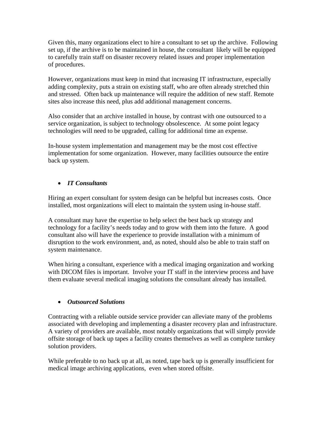Given this, many organizations elect to hire a consultant to set up the archive. Following set up, if the archive is to be maintained in house, the consultant likely will be equipped to carefully train staff on disaster recovery related issues and proper implementation of procedures.

However, organizations must keep in mind that increasing IT infrastructure, especially adding complexity, puts a strain on existing staff, who are often already stretched thin and stressed. Often back up maintenance will require the addition of new staff. Remote sites also increase this need, plus add additional management concerns.

Also consider that an archive installed in house, by contrast with one outsourced to a service organization, is subject to technology obsolescence. At some point legacy technologies will need to be upgraded, calling for additional time an expense.

In-house system implementation and management may be the most cost effective implementation for some organization. However, many facilities outsource the entire back up system.

### • *IT Consultants*

Hiring an expert consultant for system design can be helpful but increases costs. Once installed, most organizations will elect to maintain the system using in-house staff.

A consultant may have the expertise to help select the best back up strategy and technology for a facility's needs today and to grow with them into the future. A good consultant also will have the experience to provide installation with a minimum of disruption to the work environment, and, as noted, should also be able to train staff on system maintenance.

When hiring a consultant, experience with a medical imaging organization and working with DICOM files is important. Involve your IT staff in the interview process and have them evaluate several medical imaging solutions the consultant already has installed.

### • *Outsourced Solutions*

Contracting with a reliable outside service provider can alleviate many of the problems associated with developing and implementing a disaster recovery plan and infrastructure. A variety of providers are available, most notably organizations that will simply provide offsite storage of back up tapes a facility creates themselves as well as complete turnkey solution providers.

While preferable to no back up at all, as noted, tape back up is generally insufficient for medical image archiving applications, even when stored offsite.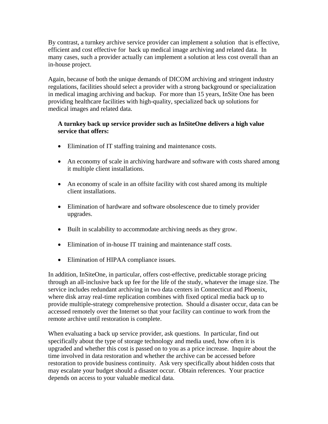By contrast, a turnkey archive service provider can implement a solution that is effective, efficient and cost effective for back up medical image archiving and related data. In many cases, such a provider actually can implement a solution at less cost overall than an in-house project.

Again, because of both the unique demands of DICOM archiving and stringent industry regulations, facilities should select a provider with a strong background or specialization in medical imaging archiving and backup. For more than 15 years, InSite One has been providing healthcare facilities with high-quality, specialized back up solutions for medical images and related data.

#### **A turnkey back up service provider such as InSiteOne delivers a high value service that offers:**

- Elimination of IT staffing training and maintenance costs.
- An economy of scale in archiving hardware and software with costs shared among it multiple client installations.
- An economy of scale in an offsite facility with cost shared among its multiple client installations.
- Elimination of hardware and software obsolescence due to timely provider upgrades.
- Built in scalability to accommodate archiving needs as they grow.
- Elimination of in-house IT training and maintenance staff costs.
- Elimination of HIPAA compliance issues.

In addition, InSiteOne, in particular, offers cost-effective, predictable storage pricing through an all-inclusive back up fee for the life of the study, whatever the image size. The service includes redundant archiving in two data centers in Connecticut and Phoenix, where disk array real-time replication combines with fixed optical media back up to provide multiple-strategy comprehensive protection. Should a disaster occur, data can be accessed remotely over the Internet so that your facility can continue to work from the remote archive until restoration is complete.

When evaluating a back up service provider, ask questions. In particular, find out specifically about the type of storage technology and media used, how often it is upgraded and whether this cost is passed on to you as a price increase. Inquire about the time involved in data restoration and whether the archive can be accessed before restoration to provide business continuity. Ask very specifically about hidden costs that may escalate your budget should a disaster occur. Obtain references. Your practice depends on access to your valuable medical data.